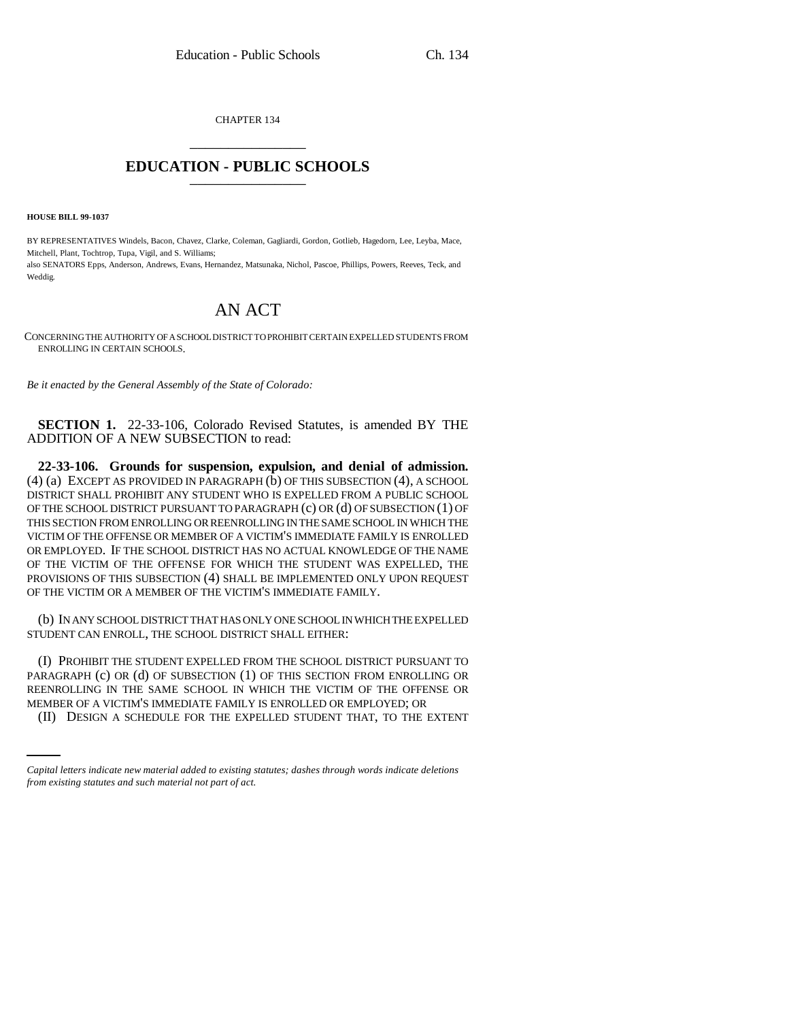CHAPTER 134 \_\_\_\_\_\_\_\_\_\_\_\_\_\_\_

## **EDUCATION - PUBLIC SCHOOLS** \_\_\_\_\_\_\_\_\_\_\_\_\_\_\_

**HOUSE BILL 99-1037**

BY REPRESENTATIVES Windels, Bacon, Chavez, Clarke, Coleman, Gagliardi, Gordon, Gotlieb, Hagedorn, Lee, Leyba, Mace, Mitchell, Plant, Tochtrop, Tupa, Vigil, and S. Williams; also SENATORS Epps, Anderson, Andrews, Evans, Hernandez, Matsunaka, Nichol, Pascoe, Phillips, Powers, Reeves, Teck, and Weddig.

## AN ACT

CONCERNING THE AUTHORITY OF A SCHOOL DISTRICT TO PROHIBIT CERTAIN EXPELLED STUDENTS FROM ENROLLING IN CERTAIN SCHOOLS.

*Be it enacted by the General Assembly of the State of Colorado:*

**SECTION 1.** 22-33-106, Colorado Revised Statutes, is amended BY THE ADDITION OF A NEW SUBSECTION to read:

**22-33-106. Grounds for suspension, expulsion, and denial of admission.**  $(4)$  (a) EXCEPT AS PROVIDED IN PARAGRAPH  $(b)$  OF THIS SUBSECTION  $(4)$ , A SCHOOL DISTRICT SHALL PROHIBIT ANY STUDENT WHO IS EXPELLED FROM A PUBLIC SCHOOL OF THE SCHOOL DISTRICT PURSUANT TO PARAGRAPH (c) OR (d) OF SUBSECTION (1) OF THIS SECTION FROM ENROLLING OR REENROLLING IN THE SAME SCHOOL IN WHICH THE VICTIM OF THE OFFENSE OR MEMBER OF A VICTIM'S IMMEDIATE FAMILY IS ENROLLED OR EMPLOYED. IF THE SCHOOL DISTRICT HAS NO ACTUAL KNOWLEDGE OF THE NAME OF THE VICTIM OF THE OFFENSE FOR WHICH THE STUDENT WAS EXPELLED, THE PROVISIONS OF THIS SUBSECTION (4) SHALL BE IMPLEMENTED ONLY UPON REQUEST OF THE VICTIM OR A MEMBER OF THE VICTIM'S IMMEDIATE FAMILY.

(b) IN ANY SCHOOL DISTRICT THAT HAS ONLY ONE SCHOOL IN WHICH THE EXPELLED STUDENT CAN ENROLL, THE SCHOOL DISTRICT SHALL EITHER:

REENROLLING IN THE SAME SCHOOL IN WHICH THE VICTIM OF THE OFFENSE OR (I) PROHIBIT THE STUDENT EXPELLED FROM THE SCHOOL DISTRICT PURSUANT TO PARAGRAPH (c) OR (d) OF SUBSECTION (1) OF THIS SECTION FROM ENROLLING OR MEMBER OF A VICTIM'S IMMEDIATE FAMILY IS ENROLLED OR EMPLOYED; OR

(II) DESIGN A SCHEDULE FOR THE EXPELLED STUDENT THAT, TO THE EXTENT

*Capital letters indicate new material added to existing statutes; dashes through words indicate deletions from existing statutes and such material not part of act.*